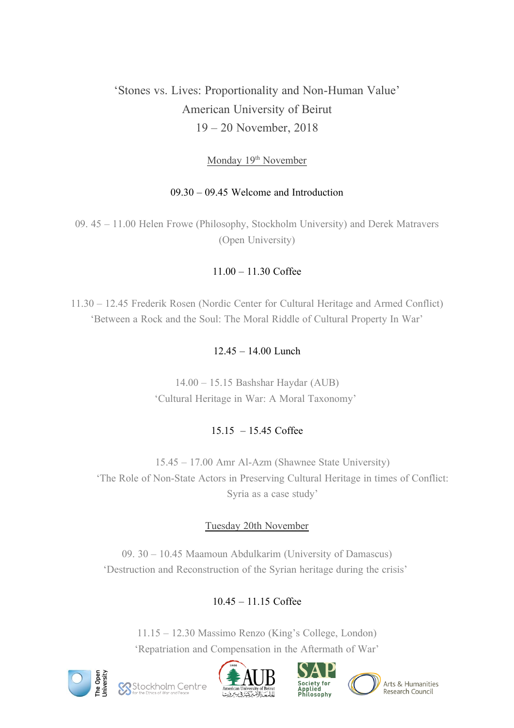# 'Stones vs. Lives: Proportionality and Non-Human Value' American University of Beirut 19 – 20 November, 2018

## Monday 19<sup>th</sup> November

## 09.30 – 09.45 Welcome and Introduction

09. 45 – 11.00 Helen Frowe (Philosophy, Stockholm University) and Derek Matravers (Open University)

# 11.00 – 11.30 Coffee

11.30 – 12.45 Frederik Rosen (Nordic Center for Cultural Heritage and Armed Conflict) 'Between a Rock and the Soul: The Moral Riddle of Cultural Property In War'

# 12.45 – 14.00 Lunch

14.00 – 15.15 Bashshar Haydar (AUB) 'Cultural Heritage in War: A Moral Taxonomy'

# 15.15 – 15.45 Coffee

15.45 – 17.00 Amr Al-Azm (Shawnee State University) 'The Role of Non-State Actors in Preserving Cultural Heritage in times of Conflict: Syria as a case study'

# Tuesday 20th November

09. 30 – 10.45 Maamoun Abdulkarim (University of Damascus) 'Destruction and Reconstruction of the Syrian heritage during the crisis'

# 10.45 – 11.15 Coffee

11.15 – 12.30 Massimo Renzo (King's College, London) 'Repatriation and Compensation in the Aftermath of War'









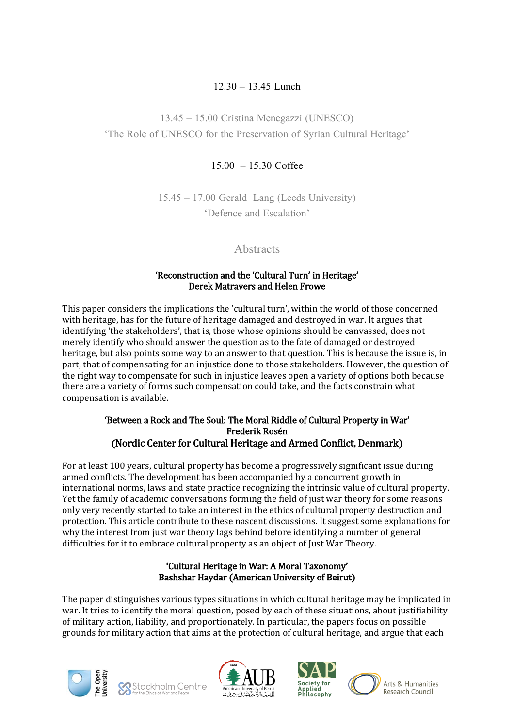## 12.30 – 13.45 Lunch

13.45 – 15.00 Cristina Menegazzi (UNESCO) 'The Role of UNESCO for the Preservation of Syrian Cultural Heritage'

## 15.00 – 15.30 Coffee

15.45 – 17.00 Gerald Lang (Leeds University) 'Defence and Escalation'

## **Abstracts**

#### 'Reconstruction and the 'Cultural Turn' in Heritage' Derek Matravers and Helen Frowe

This paper considers the implications the 'cultural turn', within the world of those concerned with heritage, has for the future of heritage damaged and destroyed in war. It argues that identifying 'the stakeholders', that is, those whose opinions should be canvassed, does not merely identify who should answer the question as to the fate of damaged or destroyed heritage, but also points some way to an answer to that question. This is because the issue is, in part, that of compensating for an injustice done to those stakeholders. However, the question of the right way to compensate for such in injustice leaves open a variety of options both because there are a variety of forms such compensation could take, and the facts constrain what compensation is available.

#### 'Between a Rock and The Soul: The Moral Riddle of Cultural Property in War' Frederik Rosén (Nordic Center for Cultural Heritage and Armed Conflict, Denmark)

For at least 100 years, cultural property has become a progressively significant issue during armed conflicts. The development has been accompanied by a concurrent growth in international norms, laws and state practice recognizing the intrinsic value of cultural property. Yet the family of academic conversations forming the field of just war theory for some reasons only very recently started to take an interest in the ethics of cultural property destruction and protection. This article contribute to these nascent discussions. It suggest some explanations for why the interest from just war theory lags behind before identifying a number of general difficulties for it to embrace cultural property as an object of Just War Theory.

## 'Cultural Heritage in War: A Moral Taxonomy' Bashshar Haydar (American University of Beirut)

The paper distinguishes various types situations in which cultural heritage may be implicated in war. It tries to identify the moral question, posed by each of these situations, about justifiability of military action, liability, and proportionately. In particular, the papers focus on possible grounds for military action that aims at the protection of cultural heritage, and argue that each









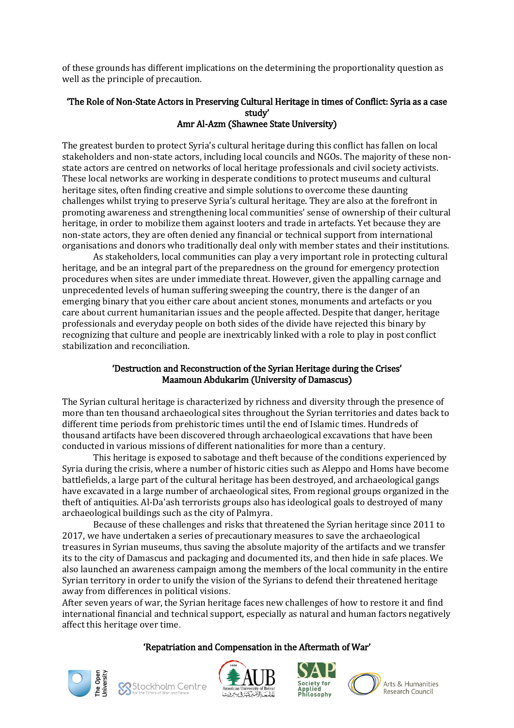of these grounds has different implications on the determining the proportionality question as well as the principle of precaution.

#### 'The Role of Non-State Actors in Preserving Cultural Heritage in times of Conflict: Syria as a case study' Amr Al-Azm (Shawnee State University)

The greatest burden to protect Syria's cultural heritage during this conflict has fallen on local stakeholders and non-state actors, including local councils and NGOs. The majority of these nonstate actors are centred on networks of local heritage professionals and civil society activists. These local networks are working in desperate conditions to protect museums and cultural heritage sites, often finding creative and simple solutions to overcome these daunting challenges whilst trying to preserve Syria's cultural heritage. They are also at the forefront in promoting awareness and strengthening local communities' sense of ownership of their cultural heritage, in order to mobilize them against looters and trade in artefacts. Yet because they are non-state actors, they are often denied any financial or technical support from international organisations and donors who traditionally deal only with member states and their institutions.

As stakeholders, local communities can play a very important role in protecting cultural heritage, and be an integral part of the preparedness on the ground for emergency protection procedures when sites are under immediate threat. However, given the appalling carnage and unprecedented levels of human suffering sweeping the country, there is the danger of an emerging binary that you either care about ancient stones, monuments and artefacts or you care about current humanitarian issues and the people affected. Despite that danger, heritage professionals and everyday people on both sides of the divide have rejected this binary by recognizing that culture and people are inextricably linked with a role to play in post conflict stabilization and reconciliation.

## 'Destruction and Reconstruction of the Syrian Heritage during the Crises' Maamoun Abdukarim (University of Damascus)

The Syrian cultural heritage is characterized by richness and diversity through the presence of more than ten thousand archaeological sites throughout the Syrian territories and dates back to different time periods from prehistoric times until the end of Islamic times. Hundreds of thousand artifacts have been discovered through archaeological excavations that have been conducted in various missions of different nationalities for more than a century.

This heritage is exposed to sabotage and theft because of the conditions experienced by Syria during the crisis, where a number of historic cities such as Aleppo and Homs have become battlefields, a large part of the cultural heritage has been destroyed, and archaeological gangs have excavated in a large number of archaeological sites, From regional groups organized in the theft of antiquities. Al-Da'ash terrorists groups also has ideological goals to destroyed of many archaeological buildings such as the city of Palmyra.

Because of these challenges and risks that threatened the Syrian heritage since 2011 to 2017, we have undertaken a series of precautionary measures to save the archaeological treasures in Syrian museums, thus saving the absolute majority of the artifacts and we transfer its to the city of Damascus and packaging and documented its, and then hide in safe places. We also launched an awareness campaign among the members of the local community in the entire Syrian territory in order to unify the vision of the Syrians to defend their threatened heritage away from differences in political visions.

After seven years of war, the Syrian heritage faces new challenges of how to restore it and find international financial and technical support, especially as natural and human factors negatively affect this heritage over time.

## 'Repatriation and Compensation in the Aftermath of War'